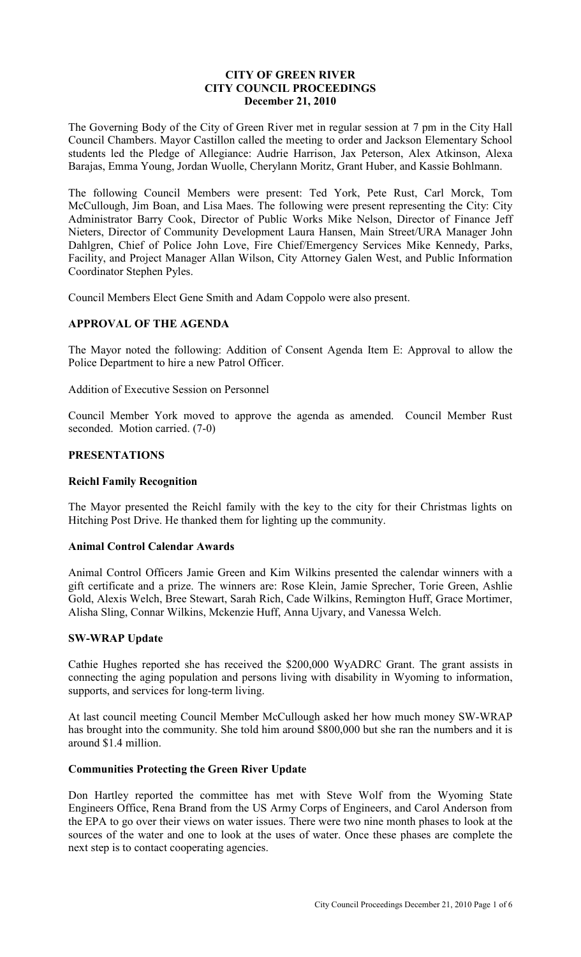## **CITY OF GREEN RIVER CITY COUNCIL PROCEEDINGS December 21, 2010**

The Governing Body of the City of Green River met in regular session at 7 pm in the City Hall Council Chambers. Mayor Castillon called the meeting to order and Jackson Elementary School students led the Pledge of Allegiance: Audrie Harrison, Jax Peterson, Alex Atkinson, Alexa Barajas, Emma Young, Jordan Wuolle, Cherylann Moritz, Grant Huber, and Kassie Bohlmann.

The following Council Members were present: Ted York, Pete Rust, Carl Morck, Tom McCullough, Jim Boan, and Lisa Maes. The following were present representing the City: City Administrator Barry Cook, Director of Public Works Mike Nelson, Director of Finance Jeff Nieters, Director of Community Development Laura Hansen, Main Street/URA Manager John Dahlgren, Chief of Police John Love, Fire Chief/Emergency Services Mike Kennedy, Parks, Facility, and Project Manager Allan Wilson, City Attorney Galen West, and Public Information Coordinator Stephen Pyles.

Council Members Elect Gene Smith and Adam Coppolo were also present.

## **APPROVAL OF THE AGENDA**

The Mayor noted the following: Addition of Consent Agenda Item E: Approval to allow the Police Department to hire a new Patrol Officer.

Addition of Executive Session on Personnel

Council Member York moved to approve the agenda as amended. Council Member Rust seconded. Motion carried. (7-0)

## **PRESENTATIONS**

#### **Reichl Family Recognition**

The Mayor presented the Reichl family with the key to the city for their Christmas lights on Hitching Post Drive. He thanked them for lighting up the community.

## **Animal Control Calendar Awards**

Animal Control Officers Jamie Green and Kim Wilkins presented the calendar winners with a gift certificate and a prize. The winners are: Rose Klein, Jamie Sprecher, Torie Green, Ashlie Gold, Alexis Welch, Bree Stewart, Sarah Rich, Cade Wilkins, Remington Huff, Grace Mortimer, Alisha Sling, Connar Wilkins, Mckenzie Huff, Anna Ujvary, and Vanessa Welch.

## **SW-WRAP Update**

Cathie Hughes reported she has received the \$200,000 WyADRC Grant. The grant assists in connecting the aging population and persons living with disability in Wyoming to information, supports, and services for long-term living.

At last council meeting Council Member McCullough asked her how much money SW-WRAP has brought into the community. She told him around \$800,000 but she ran the numbers and it is around \$1.4 million.

## **Communities Protecting the Green River Update**

Don Hartley reported the committee has met with Steve Wolf from the Wyoming State Engineers Office, Rena Brand from the US Army Corps of Engineers, and Carol Anderson from the EPA to go over their views on water issues. There were two nine month phases to look at the sources of the water and one to look at the uses of water. Once these phases are complete the next step is to contact cooperating agencies.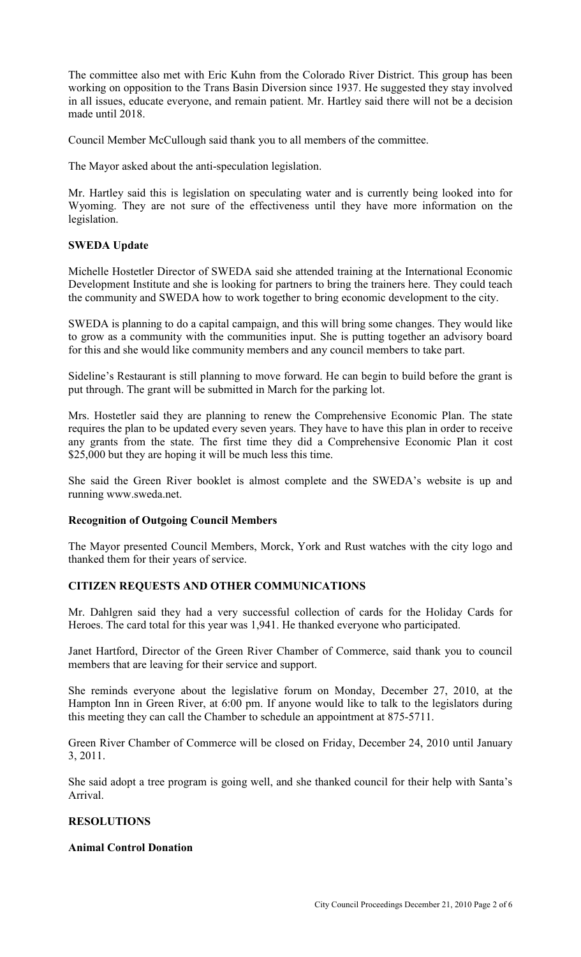The committee also met with Eric Kuhn from the Colorado River District. This group has been working on opposition to the Trans Basin Diversion since 1937. He suggested they stay involved in all issues, educate everyone, and remain patient. Mr. Hartley said there will not be a decision made until 2018.

Council Member McCullough said thank you to all members of the committee.

The Mayor asked about the anti-speculation legislation.

Mr. Hartley said this is legislation on speculating water and is currently being looked into for Wyoming. They are not sure of the effectiveness until they have more information on the legislation.

## **SWEDA Update**

Michelle Hostetler Director of SWEDA said she attended training at the International Economic Development Institute and she is looking for partners to bring the trainers here. They could teach the community and SWEDA how to work together to bring economic development to the city.

SWEDA is planning to do a capital campaign, and this will bring some changes. They would like to grow as a community with the communities input. She is putting together an advisory board for this and she would like community members and any council members to take part.

Sideline's Restaurant is still planning to move forward. He can begin to build before the grant is put through. The grant will be submitted in March for the parking lot.

Mrs. Hostetler said they are planning to renew the Comprehensive Economic Plan. The state requires the plan to be updated every seven years. They have to have this plan in order to receive any grants from the state. The first time they did a Comprehensive Economic Plan it cost \$25,000 but they are hoping it will be much less this time.

She said the Green River booklet is almost complete and the SWEDA's website is up and running www.sweda.net.

#### **Recognition of Outgoing Council Members**

The Mayor presented Council Members, Morck, York and Rust watches with the city logo and thanked them for their years of service.

#### **CITIZEN REQUESTS AND OTHER COMMUNICATIONS**

Mr. Dahlgren said they had a very successful collection of cards for the Holiday Cards for Heroes. The card total for this year was 1,941. He thanked everyone who participated.

Janet Hartford, Director of the Green River Chamber of Commerce, said thank you to council members that are leaving for their service and support.

She reminds everyone about the legislative forum on Monday, December 27, 2010, at the Hampton Inn in Green River, at 6:00 pm. If anyone would like to talk to the legislators during this meeting they can call the Chamber to schedule an appointment at 875-5711.

Green River Chamber of Commerce will be closed on Friday, December 24, 2010 until January 3, 2011.

She said adopt a tree program is going well, and she thanked council for their help with Santa's Arrival.

## **RESOLUTIONS**

## **Animal Control Donation**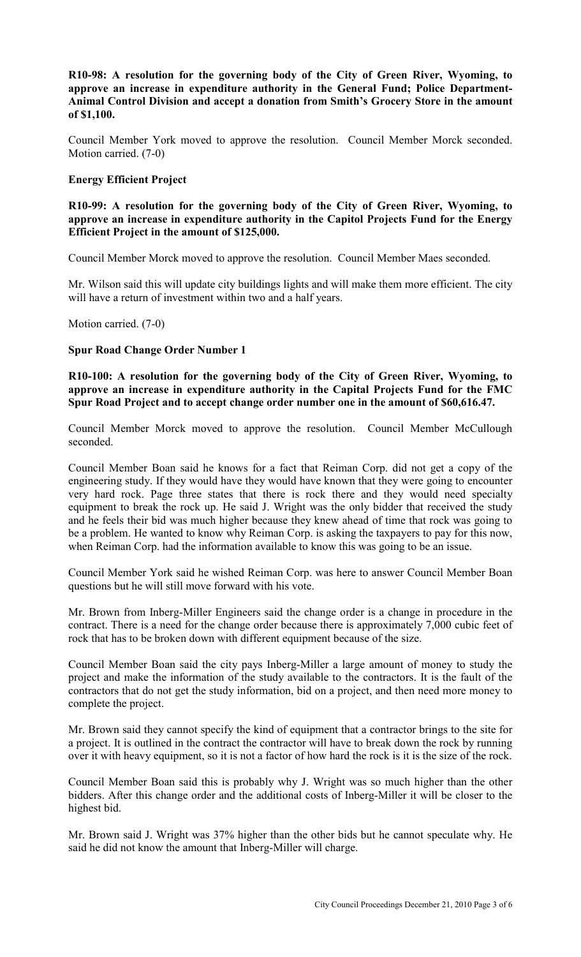**R10-98: A resolution for the governing body of the City of Green River, Wyoming, to approve an increase in expenditure authority in the General Fund; Police Department-Animal Control Division and accept a donation from Smith's Grocery Store in the amount of \$1,100.** 

Council Member York moved to approve the resolution. Council Member Morck seconded. Motion carried. (7-0)

## **Energy Efficient Project**

**R10-99: A resolution for the governing body of the City of Green River, Wyoming, to approve an increase in expenditure authority in the Capitol Projects Fund for the Energy Efficient Project in the amount of \$125,000.**

Council Member Morck moved to approve the resolution. Council Member Maes seconded.

Mr. Wilson said this will update city buildings lights and will make them more efficient. The city will have a return of investment within two and a half years.

Motion carried. (7-0)

## **Spur Road Change Order Number 1**

**R10-100: A resolution for the governing body of the City of Green River, Wyoming, to approve an increase in expenditure authority in the Capital Projects Fund for the FMC Spur Road Project and to accept change order number one in the amount of \$60,616.47.**

Council Member Morck moved to approve the resolution. Council Member McCullough seconded.

Council Member Boan said he knows for a fact that Reiman Corp. did not get a copy of the engineering study. If they would have they would have known that they were going to encounter very hard rock. Page three states that there is rock there and they would need specialty equipment to break the rock up. He said J. Wright was the only bidder that received the study and he feels their bid was much higher because they knew ahead of time that rock was going to be a problem. He wanted to know why Reiman Corp. is asking the taxpayers to pay for this now, when Reiman Corp. had the information available to know this was going to be an issue.

Council Member York said he wished Reiman Corp. was here to answer Council Member Boan questions but he will still move forward with his vote.

Mr. Brown from Inberg-Miller Engineers said the change order is a change in procedure in the contract. There is a need for the change order because there is approximately 7,000 cubic feet of rock that has to be broken down with different equipment because of the size.

Council Member Boan said the city pays Inberg-Miller a large amount of money to study the project and make the information of the study available to the contractors. It is the fault of the contractors that do not get the study information, bid on a project, and then need more money to complete the project.

Mr. Brown said they cannot specify the kind of equipment that a contractor brings to the site for a project. It is outlined in the contract the contractor will have to break down the rock by running over it with heavy equipment, so it is not a factor of how hard the rock is it is the size of the rock.

Council Member Boan said this is probably why J. Wright was so much higher than the other bidders. After this change order and the additional costs of Inberg-Miller it will be closer to the highest bid.

Mr. Brown said J. Wright was 37% higher than the other bids but he cannot speculate why. He said he did not know the amount that Inberg-Miller will charge.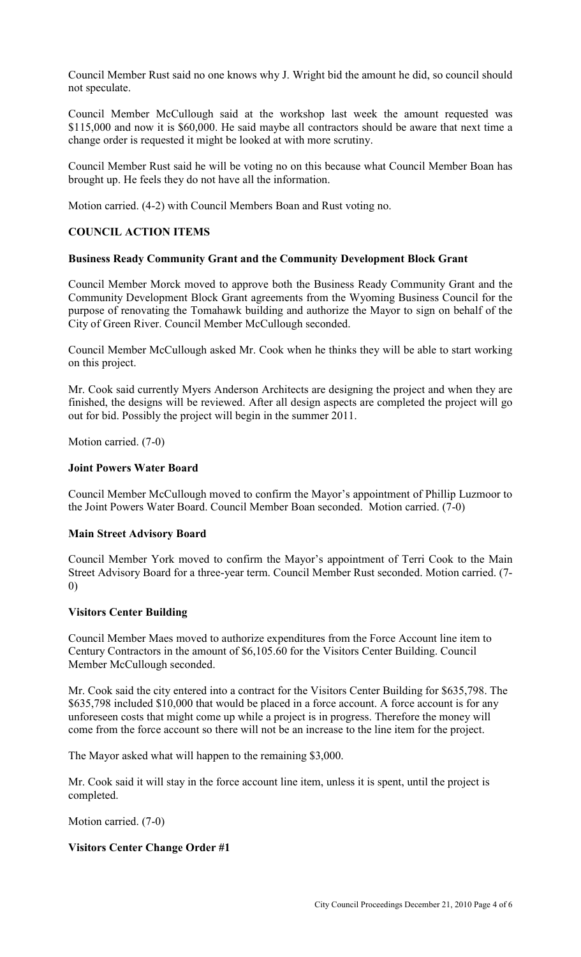Council Member Rust said no one knows why J. Wright bid the amount he did, so council should not speculate.

Council Member McCullough said at the workshop last week the amount requested was \$115,000 and now it is \$60,000. He said maybe all contractors should be aware that next time a change order is requested it might be looked at with more scrutiny.

Council Member Rust said he will be voting no on this because what Council Member Boan has brought up. He feels they do not have all the information.

Motion carried. (4-2) with Council Members Boan and Rust voting no.

## **COUNCIL ACTION ITEMS**

#### **Business Ready Community Grant and the Community Development Block Grant**

Council Member Morck moved to approve both the Business Ready Community Grant and the Community Development Block Grant agreements from the Wyoming Business Council for the purpose of renovating the Tomahawk building and authorize the Mayor to sign on behalf of the City of Green River. Council Member McCullough seconded.

Council Member McCullough asked Mr. Cook when he thinks they will be able to start working on this project.

Mr. Cook said currently Myers Anderson Architects are designing the project and when they are finished, the designs will be reviewed. After all design aspects are completed the project will go out for bid. Possibly the project will begin in the summer 2011.

Motion carried. (7-0)

#### **Joint Powers Water Board**

Council Member McCullough moved to confirm the Mayor's appointment of Phillip Luzmoor to the Joint Powers Water Board. Council Member Boan seconded. Motion carried. (7-0)

## **Main Street Advisory Board**

Council Member York moved to confirm the Mayor's appointment of Terri Cook to the Main Street Advisory Board for a three-year term. Council Member Rust seconded. Motion carried. (7- 0)

#### **Visitors Center Building**

Council Member Maes moved to authorize expenditures from the Force Account line item to Century Contractors in the amount of \$6,105.60 for the Visitors Center Building. Council Member McCullough seconded.

Mr. Cook said the city entered into a contract for the Visitors Center Building for \$635,798. The \$635,798 included \$10,000 that would be placed in a force account. A force account is for any unforeseen costs that might come up while a project is in progress. Therefore the money will come from the force account so there will not be an increase to the line item for the project.

The Mayor asked what will happen to the remaining \$3,000.

Mr. Cook said it will stay in the force account line item, unless it is spent, until the project is completed.

Motion carried. (7-0)

## **Visitors Center Change Order #1**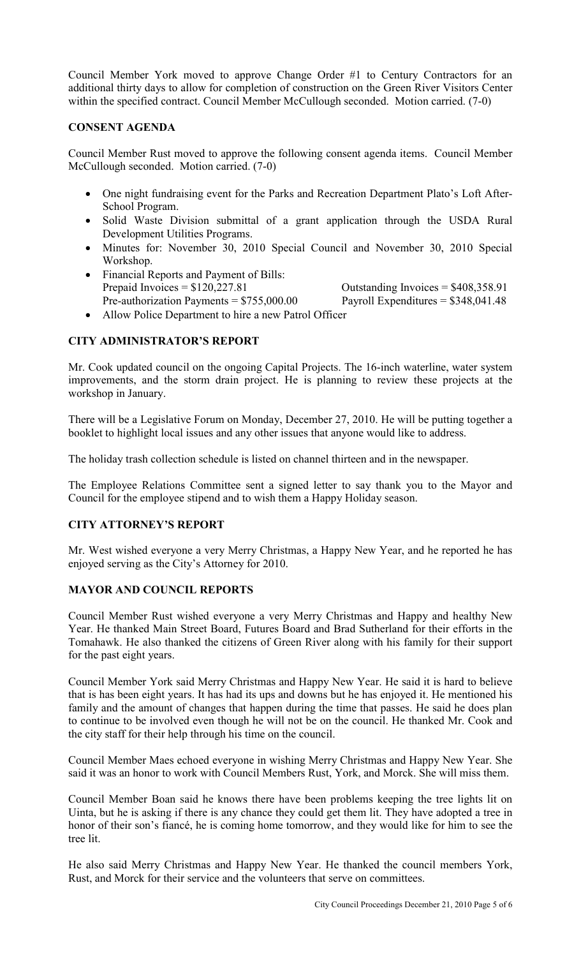Council Member York moved to approve Change Order #1 to Century Contractors for an additional thirty days to allow for completion of construction on the Green River Visitors Center within the specified contract. Council Member McCullough seconded. Motion carried. (7-0)

## **CONSENT AGENDA**

Council Member Rust moved to approve the following consent agenda items. Council Member McCullough seconded. Motion carried. (7-0)

- One night fundraising event for the Parks and Recreation Department Plato's Loft After-School Program.
- Solid Waste Division submittal of a grant application through the USDA Rural Development Utilities Programs.
- Minutes for: November 30, 2010 Special Council and November 30, 2010 Special Workshop.
- Financial Reports and Payment of Bills: Prepaid Invoices =  $$120,227.81$  Outstanding Invoices =  $$408,358.91$ Pre-authorization Payments =  $$755,000.00$  Payroll Expenditures =  $$348,041.48$
- Allow Police Department to hire a new Patrol Officer

# **CITY ADMINISTRATOR'S REPORT**

Mr. Cook updated council on the ongoing Capital Projects. The 16-inch waterline, water system improvements, and the storm drain project. He is planning to review these projects at the workshop in January.

There will be a Legislative Forum on Monday, December 27, 2010. He will be putting together a booklet to highlight local issues and any other issues that anyone would like to address.

The holiday trash collection schedule is listed on channel thirteen and in the newspaper.

The Employee Relations Committee sent a signed letter to say thank you to the Mayor and Council for the employee stipend and to wish them a Happy Holiday season.

## **CITY ATTORNEY'S REPORT**

Mr. West wished everyone a very Merry Christmas, a Happy New Year, and he reported he has enjoyed serving as the City's Attorney for 2010.

## **MAYOR AND COUNCIL REPORTS**

Council Member Rust wished everyone a very Merry Christmas and Happy and healthy New Year. He thanked Main Street Board, Futures Board and Brad Sutherland for their efforts in the Tomahawk. He also thanked the citizens of Green River along with his family for their support for the past eight years.

Council Member York said Merry Christmas and Happy New Year. He said it is hard to believe that is has been eight years. It has had its ups and downs but he has enjoyed it. He mentioned his family and the amount of changes that happen during the time that passes. He said he does plan to continue to be involved even though he will not be on the council. He thanked Mr. Cook and the city staff for their help through his time on the council.

Council Member Maes echoed everyone in wishing Merry Christmas and Happy New Year. She said it was an honor to work with Council Members Rust, York, and Morck. She will miss them.

Council Member Boan said he knows there have been problems keeping the tree lights lit on Uinta, but he is asking if there is any chance they could get them lit. They have adopted a tree in honor of their son's fiancé, he is coming home tomorrow, and they would like for him to see the tree lit.

He also said Merry Christmas and Happy New Year. He thanked the council members York, Rust, and Morck for their service and the volunteers that serve on committees.